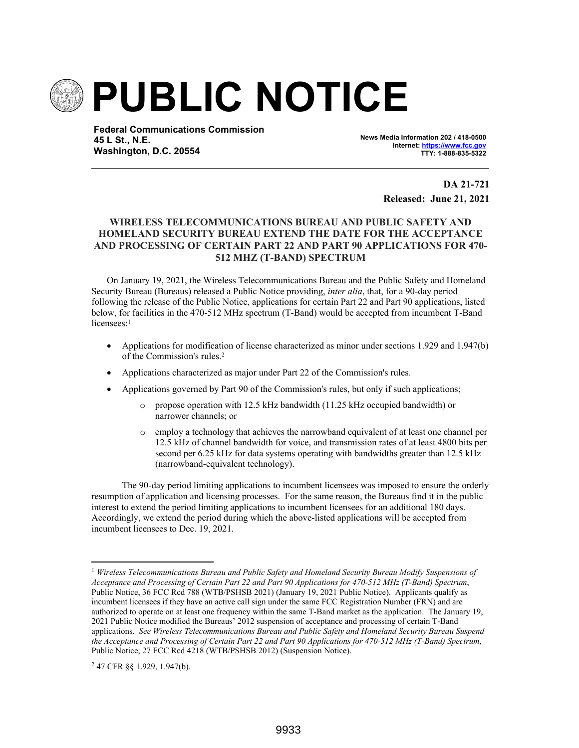

**Federal Communications Commission 45 L St., N.E. Washington, D.C. 20554**

**News Media Information 202 / 418-0500 Internet: https://www.fcc.gov TTY: 1-888-835-5322**

> **DA 21-721 Released: June 21, 2021**

## **WIRELESS TELECOMMUNICATIONS BUREAU AND PUBLIC SAFETY AND HOMELAND SECURITY BUREAU EXTEND THE DATE FOR THE ACCEPTANCE AND PROCESSING OF CERTAIN PART 22 AND PART 90 APPLICATIONS FOR 470- 512 MHZ (T-BAND) SPECTRUM**

On January 19, 2021, the Wireless Telecommunications Bureau and the Public Safety and Homeland Security Bureau (Bureaus) released a Public Notice providing, *inter alia*, that, for a 90-day period following the release of the Public Notice, applications for certain Part 22 and Part 90 applications, listed below, for facilities in the 470-512 MHz spectrum (T-Band) would be accepted from incumbent T-Band licensees:<sup>1</sup>

- Applications for modification of license characterized as minor under sections 1.929 and 1.947(b) of the Commission's rules.<sup>2</sup>
- Applications characterized as major under Part 22 of the Commission's rules.
- Applications governed by Part 90 of the Commission's rules, but only if such applications;
	- o propose operation with 12.5 kHz bandwidth (11.25 kHz occupied bandwidth) or narrower channels; or
	- o employ a technology that achieves the narrowband equivalent of at least one channel per 12.5 kHz of channel bandwidth for voice, and transmission rates of at least 4800 bits per second per 6.25 kHz for data systems operating with bandwidths greater than 12.5 kHz (narrowband-equivalent technology).

The 90-day period limiting applications to incumbent licensees was imposed to ensure the orderly resumption of application and licensing processes. For the same reason, the Bureaus find it in the public interest to extend the period limiting applications to incumbent licensees for an additional 180 days. Accordingly, we extend the period during which the above-listed applications will be accepted from incumbent licensees to Dec. 19, 2021.

<sup>1</sup> *Wireless Telecommunications Bureau and Public Safety and Homeland Security Bureau Modify Suspensions of Acceptance and Processing of Certain Part 22 and Part 90 Applications for 470-512 MHz (T-Band) Spectrum*, Public Notice, 36 FCC Rcd 788 (WTB/PSHSB 2021) (January 19, 2021 Public Notice). Applicants qualify as incumbent licensees if they have an active call sign under the same FCC Registration Number (FRN) and are authorized to operate on at least one frequency within the same T-Band market as the application. The January 19, 2021 Public Notice modified the Bureaus' 2012 suspension of acceptance and processing of certain T-Band applications. *See Wireless Telecommunications Bureau and Public Safety and Homeland Security Bureau Suspend the Acceptance and Processing of Certain Part 22 and Part 90 Applications for 470-512 MHz (T-Band) Spectrum*, Public Notice, 27 FCC Rcd 4218 (WTB/PSHSB 2012) (Suspension Notice).

<sup>2</sup> 47 CFR §§ 1.929, 1.947(b).